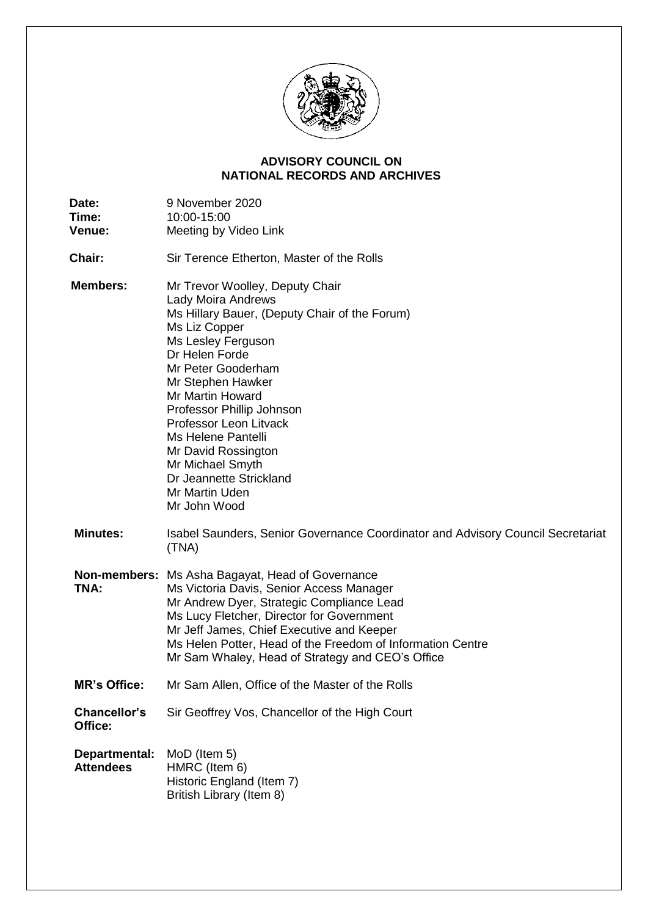

## **NATIONAL RECORDS AND ARCHIVES ADVISORY COUNCIL ON**

| Date:<br>Time:<br>Venue:          | 9 November 2020<br>10:00-15:00<br>Meeting by Video Link                                                                                                                                                                                                                                                                                                                                                             |
|-----------------------------------|---------------------------------------------------------------------------------------------------------------------------------------------------------------------------------------------------------------------------------------------------------------------------------------------------------------------------------------------------------------------------------------------------------------------|
| Chair:                            | Sir Terence Etherton, Master of the Rolls                                                                                                                                                                                                                                                                                                                                                                           |
| <b>Members:</b>                   | Mr Trevor Woolley, Deputy Chair<br>Lady Moira Andrews<br>Ms Hillary Bauer, (Deputy Chair of the Forum)<br>Ms Liz Copper<br>Ms Lesley Ferguson<br>Dr Helen Forde<br>Mr Peter Gooderham<br>Mr Stephen Hawker<br>Mr Martin Howard<br>Professor Phillip Johnson<br>Professor Leon Litvack<br>Ms Helene Pantelli<br>Mr David Rossington<br>Mr Michael Smyth<br>Dr Jeannette Strickland<br>Mr Martin Uden<br>Mr John Wood |
| <b>Minutes:</b>                   | Isabel Saunders, Senior Governance Coordinator and Advisory Council Secretariat<br>(TNA)                                                                                                                                                                                                                                                                                                                            |
| TNA:                              | <b>Non-members:</b> Ms Asha Bagayat, Head of Governance<br>Ms Victoria Davis, Senior Access Manager<br>Mr Andrew Dyer, Strategic Compliance Lead<br>Ms Lucy Fletcher, Director for Government<br>Mr Jeff James, Chief Executive and Keeper<br>Ms Helen Potter, Head of the Freedom of Information Centre<br>Mr Sam Whaley, Head of Strategy and CEO's Office                                                        |
| <b>MR's Office:</b>               | Mr Sam Allen, Office of the Master of the Rolls                                                                                                                                                                                                                                                                                                                                                                     |
| Chancellor's<br>Office:           | Sir Geoffrey Vos, Chancellor of the High Court                                                                                                                                                                                                                                                                                                                                                                      |
| Departmental:<br><b>Attendees</b> | MoD (Item 5)<br>HMRC (Item 6)<br>Historic England (Item 7)<br>British Library (Item 8)                                                                                                                                                                                                                                                                                                                              |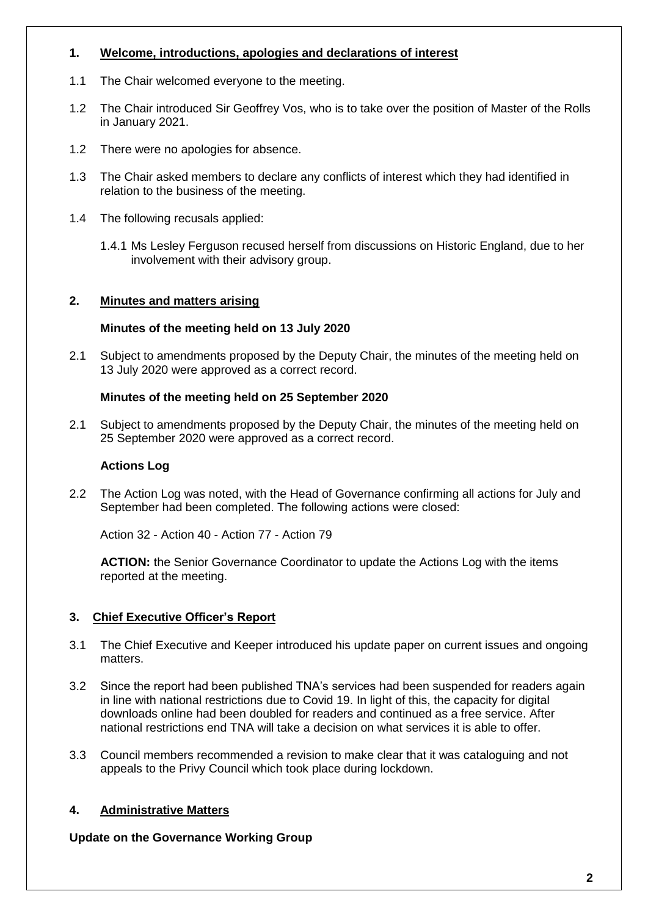# **1. Welcome, introductions, apologies and declarations of interest**

- 1.1 The Chair welcomed everyone to the meeting.
- 1.2 The Chair introduced Sir Geoffrey Vos, who is to take over the position of Master of the Rolls in January 2021.
- 1.2 There were no apologies for absence.
- 1.3 The Chair asked members to declare any conflicts of interest which they had identified in relation to the business of the meeting.
- 1.4 The following recusals applied:
	- 1.4.1 Ms Lesley Ferguson recused herself from discussions on Historic England, due to her involvement with their advisory group.

## **2. Minutes and matters arising**

## **Minutes of the meeting held on 13 July 2020**

 2.1 Subject to amendments proposed by the Deputy Chair, the minutes of the meeting held on 13 July 2020 were approved as a correct record.

## **Minutes of the meeting held on 25 September 2020**

 2.1 Subject to amendments proposed by the Deputy Chair, the minutes of the meeting held on 25 September 2020 were approved as a correct record.

### **Actions Log**

 2.2 The Action Log was noted, with the Head of Governance confirming all actions for July and September had been completed. The following actions were closed:

Action 32 - Action 40 - Action 77 - Action 79

 **ACTION:** the Senior Governance Coordinator to update the Actions Log with the items reported at the meeting.

# **3. Chief Executive Officer's Report**

- 3.1 The Chief Executive and Keeper introduced his update paper on current issues and ongoing matters.
- 3.2 Since the report had been published TNA's services had been suspended for readers again in line with national restrictions due to Covid 19. In light of this, the capacity for digital downloads online had been doubled for readers and continued as a free service. After national restrictions end TNA will take a decision on what services it is able to offer.
- 3.3 Council members recommended a revision to make clear that it was cataloguing and not appeals to the Privy Council which took place during lockdown.

# **4. Administrative Matters**

 **Update on the Governance Working Group**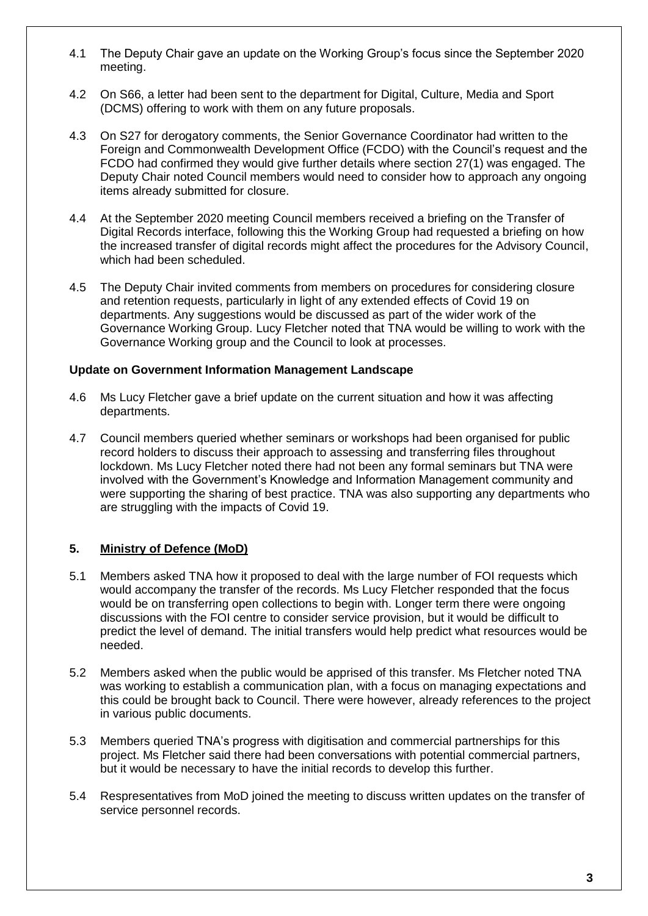- 4.1 The Deputy Chair gave an update on the Working Group's focus since the September 2020 meeting.
- 4.2 On S66, a letter had been sent to the department for Digital, Culture, Media and Sport (DCMS) offering to work with them on any future proposals.
- 4.3 On S27 for derogatory comments, the Senior Governance Coordinator had written to the Foreign and Commonwealth Development Office (FCDO) with the Council's request and the FCDO had confirmed they would give further details where section 27(1) was engaged. The Deputy Chair noted Council members would need to consider how to approach any ongoing items already submitted for closure.
- 4.4 At the September 2020 meeting Council members received a briefing on the Transfer of Digital Records interface, following this the Working Group had requested a briefing on how the increased transfer of digital records might affect the procedures for the Advisory Council, which had been scheduled.
- 4.5 The Deputy Chair invited comments from members on procedures for considering closure and retention requests, particularly in light of any extended effects of Covid 19 on departments. Any suggestions would be discussed as part of the wider work of the Governance Working Group. Lucy Fletcher noted that TNA would be willing to work with the Governance Working group and the Council to look at processes.

#### **Update on Government Information Management Landscape**

- 4.6 Ms Lucy Fletcher gave a brief update on the current situation and how it was affecting departments.
- 4.7 Council members queried whether seminars or workshops had been organised for public record holders to discuss their approach to assessing and transferring files throughout lockdown. Ms Lucy Fletcher noted there had not been any formal seminars but TNA were involved with the Government's Knowledge and Information Management community and were supporting the sharing of best practice. TNA was also supporting any departments who are struggling with the impacts of Covid 19.

### **5. Ministry of Defence (MoD)**

- 5.1 Members asked TNA how it proposed to deal with the large number of FOI requests which would accompany the transfer of the records. Ms Lucy Fletcher responded that the focus would be on transferring open collections to begin with. Longer term there were ongoing discussions with the FOI centre to consider service provision, but it would be difficult to predict the level of demand. The initial transfers would help predict what resources would be needed.
- 5.2 Members asked when the public would be apprised of this transfer. Ms Fletcher noted TNA was working to establish a communication plan, with a focus on managing expectations and this could be brought back to Council. There were however, already references to the project in various public documents.
- project. Ms Fletcher said there had been conversations with potential commercial partners, but it would be necessary to have the initial records to develop this further. 5.3 Members queried TNA's progress with digitisation and commercial partnerships for this
- 5.4 Respresentatives from MoD joined the meeting to discuss written updates on the transfer of service personnel records.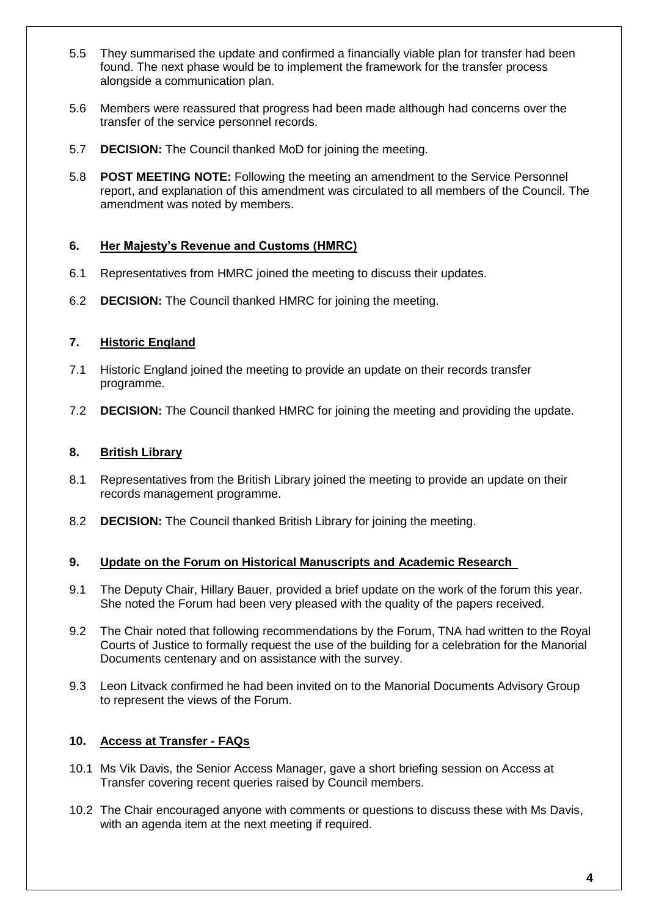- 5.5 They summarised the update and confirmed a financially viable plan for transfer had been found. The next phase would be to implement the framework for the transfer process alongside a communication plan.
- 5.6 Members were reassured that progress had been made although had concerns over the transfer of the service personnel records.
- 5.7 **DECISION:** The Council thanked MoD for joining the meeting.
- 5.8 **POST MEETING NOTE:** Following the meeting an amendment to the Service Personnel report, and explanation of this amendment was circulated to all members of the Council. The amendment was noted by members.

## **6. Her Majesty's Revenue and Customs (HMRC)**

- 6.1 Representatives from HMRC joined the meeting to discuss their updates.
- 6.2 **DECISION:** The Council thanked HMRC for joining the meeting.

# **7. Historic England**

- 7.1 Historic England joined the meeting to provide an update on their records transfer programme.
- 7.2 **DECISION:** The Council thanked HMRC for joining the meeting and providing the update.

### **8. British Library**

- 8.1 Representatives from the British Library joined the meeting to provide an update on their records management programme.
- 8.2 **DECISION:** The Council thanked British Library for joining the meeting.

### **9. Update on the Forum on Historical Manuscripts and Academic Research**

- 9.1 The Deputy Chair, Hillary Bauer, provided a brief update on the work of the forum this year. She noted the Forum had been very pleased with the quality of the papers received.
- 9.2 The Chair noted that following recommendations by the Forum, TNA had written to the Royal Courts of Justice to formally request the use of the building for a celebration for the Manorial Documents centenary and on assistance with the survey.
- 9.3 Leon Litvack confirmed he had been invited on to the Manorial Documents Advisory Group to represent the views of the Forum.

# **10. Access at Transfer - FAQs**

- 10.1 Ms Vik Davis, the Senior Access Manager, gave a short briefing session on Access at Transfer covering recent queries raised by Council members.
- 10.2 The Chair encouraged anyone with comments or questions to discuss these with Ms Davis, with an agenda item at the next meeting if required.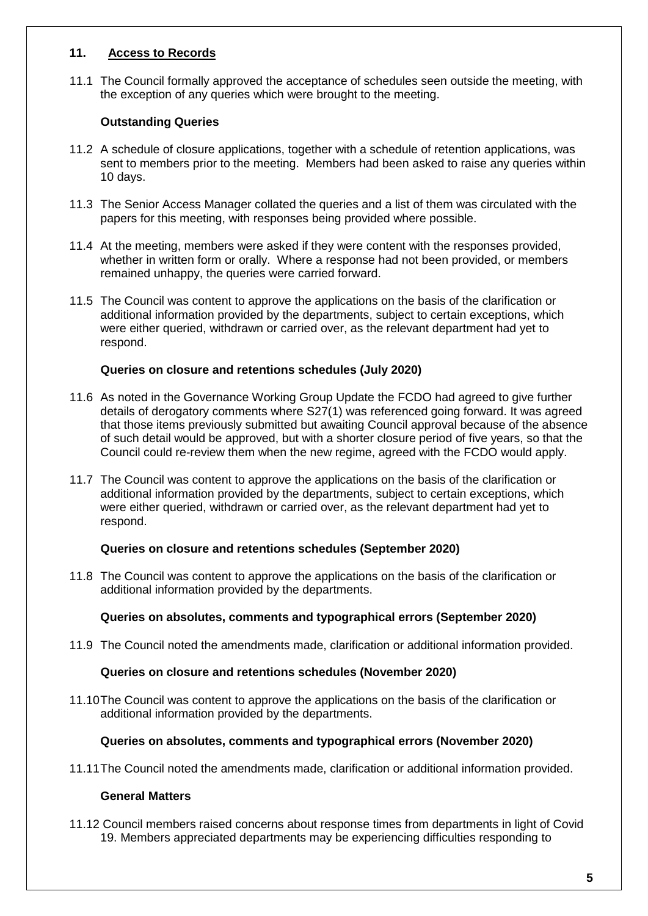### **11. Access to Records**

 11.1 The Council formally approved the acceptance of schedules seen outside the meeting, with the exception of any queries which were brought to the meeting.

## **Outstanding Queries**

- 11.2 A schedule of closure applications, together with a schedule of retention applications, was sent to members prior to the meeting. Members had been asked to raise any queries within 10 days.
- 11.3 The Senior Access Manager collated the queries and a list of them was circulated with the papers for this meeting, with responses being provided where possible.
- 11.4 At the meeting, members were asked if they were content with the responses provided, whether in written form or orally. Where a response had not been provided, or members remained unhappy, the queries were carried forward.
- 11.5 The Council was content to approve the applications on the basis of the clarification or additional information provided by the departments, subject to certain exceptions, which were either queried, withdrawn or carried over, as the relevant department had yet to respond.

### **Queries on closure and retentions schedules (July 2020)**

- 11.6 As noted in the Governance Working Group Update the FCDO had agreed to give further details of derogatory comments where S27(1) was referenced going forward. It was agreed that those items previously submitted but awaiting Council approval because of the absence of such detail would be approved, but with a shorter closure period of five years, so that the Council could re-review them when the new regime, agreed with the FCDO would apply.
- 11.7 The Council was content to approve the applications on the basis of the clarification or additional information provided by the departments, subject to certain exceptions, which were either queried, withdrawn or carried over, as the relevant department had yet to respond.

### **Queries on closure and retentions schedules (September 2020)**

 11.8 The Council was content to approve the applications on the basis of the clarification or additional information provided by the departments.

### **Queries on absolutes, comments and typographical errors (September 2020)**

11.9 The Council noted the amendments made, clarification or additional information provided.

#### **Queries on closure and retentions schedules (November 2020)**

 11.10The Council was content to approve the applications on the basis of the clarification or additional information provided by the departments.

### **Queries on absolutes, comments and typographical errors (November 2020)**

11.11The Council noted the amendments made, clarification or additional information provided.

### **General Matters**

 11.12 Council members raised concerns about response times from departments in light of Covid 19. Members appreciated departments may be experiencing difficulties responding to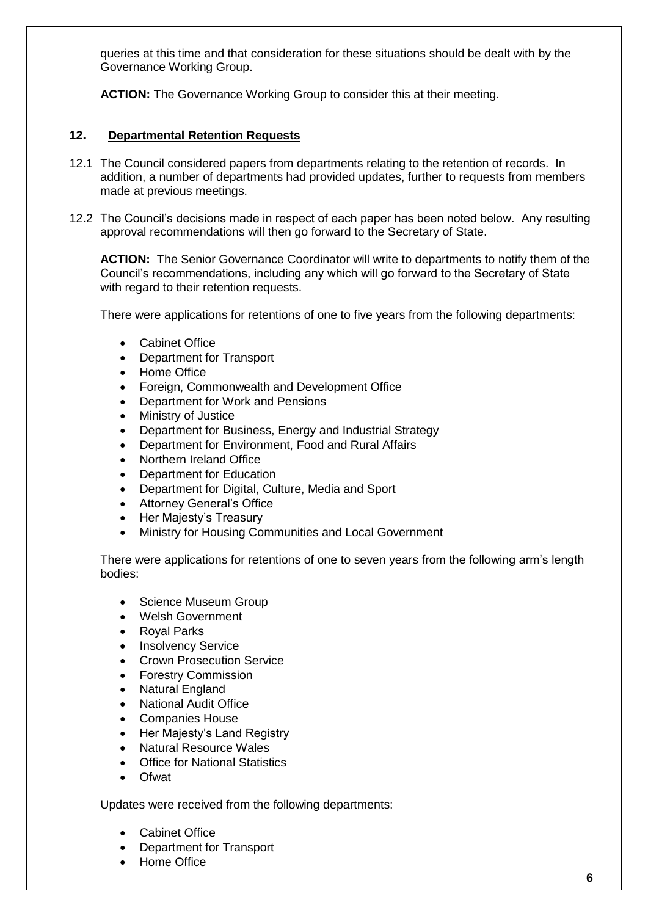queries at this time and that consideration for these situations should be dealt with by the Governance Working Group.

**ACTION:** The Governance Working Group to consider this at their meeting.

### **12. Departmental Retention Requests**

- 12.1 The Council considered papers from departments relating to the retention of records. In addition, a number of departments had provided updates, further to requests from members made at previous meetings.
- 12.2 The Council's decisions made in respect of each paper has been noted below. Any resulting approval recommendations will then go forward to the Secretary of State.

 **ACTION:** The Senior Governance Coordinator will write to departments to notify them of the Council's recommendations, including any which will go forward to the Secretary of State with regard to their retention requests.

There were applications for retentions of one to five years from the following departments:

- Cabinet Office
- Department for Transport
- Home Office
- Foreign, Commonwealth and Development Office
- Department for Work and Pensions
- Ministry of Justice
- Department for Business, Energy and Industrial Strategy
- Department for Environment, Food and Rural Affairs
- Northern Ireland Office
- Department for Education
- Department for Digital, Culture, Media and Sport
- Attorney General's Office
- Her Majesty's Treasury
- Ministry for Housing Communities and Local Government

 There were applications for retentions of one to seven years from the following arm's length bodies:

- Science Museum Group
- Welsh Government
- Royal Parks
- Insolvency Service
- Crown Prosecution Service
- Forestry Commission
- Natural England
- National Audit Office
- Companies House
- Her Majesty's Land Registry
- Natural Resource Wales
- Office for National Statistics
- **Ofwat**

Updates were received from the following departments:

- Cabinet Office
- Department for Transport
- Home Office